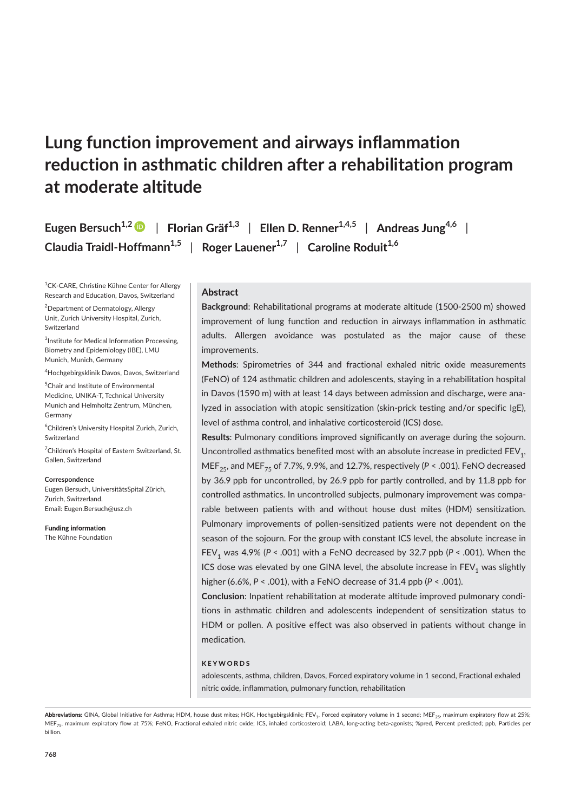# Lung function improvement and airways inflammation reduction in asthmatic children after a rehabilitation program at moderate altitude

Eugen Bersuch $^{1,2}$  D  $\,$  | Florian Gräf $^{1,3}$  | Ellen D. Renner $^{1,4,5}$  | Andreas Jung $^{4,6}$  | Claudia Traidl-Hoffmann $^{1,5}$  | Roger Lauener $^{1,7}$  | Caroline Roduit $^{1,6}$ 

<sup>1</sup>CK-CARE, Christine Kühne Center for Allergy Research and Education, Davos, Switzerland

<sup>2</sup>Department of Dermatology, Allergy Unit, Zurich University Hospital, Zurich, Switzerland

<sup>3</sup>Institute for Medical Information Processing, Biometry and Epidemiology (IBE), LMU Munich, Munich, Germany

<sup>4</sup>Hochgebirgsklinik Davos, Davos, Switzerland

<sup>5</sup>Chair and Institute of Environmental Medicine, UNIKA-T, Technical University Munich and Helmholtz Zentrum, München, Germany

<sup>6</sup>Children's University Hospital Zurich, Zurich, Switzerland

<sup>7</sup>Children's Hospital of Eastern Switzerland, St. Gallen, Switzerland

#### **Correspondence**

Eugen Bersuch, UniversitätsSpital Zürich, Zurich, Switzerland. Email: Eugen.Bersuch@usz.ch

**Funding information** The Kühne Foundation

## **Abstract**

Background: Rehabilitational programs at moderate altitude (1500-2500 m) showed improvement of lung function and reduction in airways inflammation in asthmatic adults. Allergen avoidance was postulated as the major cause of these improvements.

Methods: Spirometries of 344 and fractional exhaled nitric oxide measurements (FeNO) of 124 asthmatic children and adolescents, staying in a rehabilitation hospital in Davos (1590 m) with at least 14 days between admission and discharge, were analyzed in association with atopic sensitization (skin- prick testing and/or specific IgE), level of asthma control, and inhalative corticosteroid (ICS) dose.

Results: Pulmonary conditions improved significantly on average during the sojourn. Uncontrolled asthmatics benefited most with an absolute increase in predicted  $\mathsf{FEV}_{1}$ , MEF<sub>25</sub>, and MEF<sub>75</sub> of 7.7%, 9.9%, and 12.7%, respectively (P < .001). FeNO decreased by 36.9 ppb for uncontrolled, by 26.9 ppb for partly controlled, and by 11.8 ppb for controlled asthmatics. In uncontrolled subjects, pulmonary improvement was comparable between patients with and without house dust mites (HDM) sensitization. Pulmonary improvements of pollen- sensitized patients were not dependent on the season of the sojourn. For the group with constant ICS level, the absolute increase in FEV<sub>1</sub> was 4.9% (P < .001) with a FeNO decreased by 32.7 ppb (P < .001). When the ICS dose was elevated by one GINA level, the absolute increase in  $\mathsf{FEV}_1$  was slightly higher (6.6%, P < .001), with a FeNO decrease of 31.4 ppb (P < .001).

Conclusion: Inpatient rehabilitation at moderate altitude improved pulmonary conditions in asthmatic children and adolescents independent of sensitization status to HDM or pollen. A positive effect was also observed in patients without change in medication.

#### **KFYWORDS**

adolescents, asthma, children, Davos, Forced expiratory volume in 1 second, Fractional exhaled nitric oxide, inflammation, pulmonary function, rehabilitation

GINA, Global Initiative for Asthma; HDM, house dust mites; HGK, Hochgebirgsklinik; FEV<sub>1</sub>, Forced expiratory volume in 1 second; MEF<sub>25</sub>, maximum expiratory flow at 25%; MEF<sub>75</sub>, maximum expiratory flow at 75%; FeNO, Fractional exhaled nitric oxide; ICS, inhaled corticosteroid; LABA, long-acting beta-agonists; %pred, Percent predicted; ppb, Particles per billion.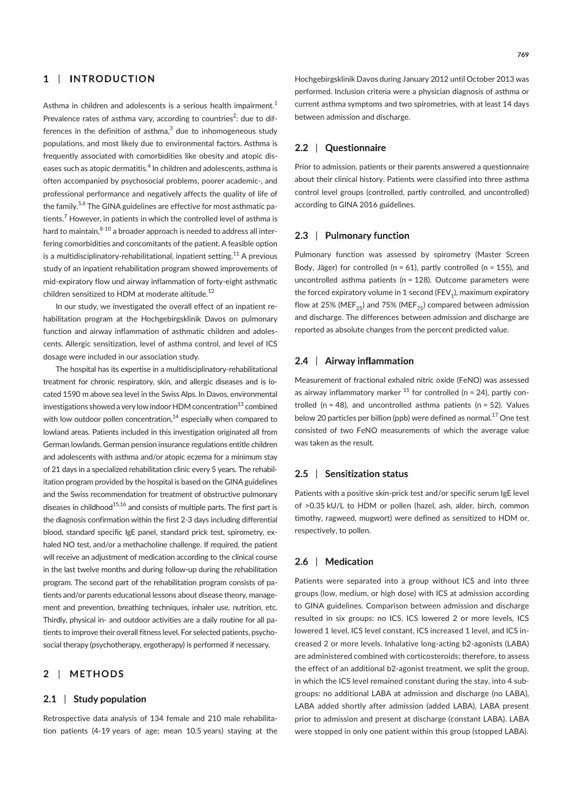#### $\mathbf{1}$ **INTRODUCTION** |

Asthma in children and adolescents is a serious health impairment.<sup>1</sup> Prevalence rates of asthma vary, according to countries<sup>2</sup>: due to differences in the definition of asthma, $3$  due to inhomogeneous study populations, and most likely due to environmental factors. Asthma is frequently associated with comorbidities like obesity and atopic diseases such as atopic dermatitis.<sup>4</sup> In children and adolescents, asthma is often accompanied by psychosocial problems, poorer academic-, and professional performance and negatively affects the quality of life of the family.<sup>5,6</sup> The GINA guidelines are effective for most asthmatic patients. $^7$  However, in patients in which the controlled level of asthma is hard to maintain, $8-10$  a broader approach is needed to address all interfering comorbidities and concomitants of the patient. A feasible option is a multidisciplinatory-rehabilitational, inpatient setting.<sup>11</sup> A previous study of an inpatient rehabilitation program showed improvements of mid- expiratory flow und airway inflammation of forty- eight asthmatic children sensitized to HDM at moderate altitude.<sup>12</sup>

In our study, we investigated the overall effect of an inpatient rehabilitation program at the Hochgebirgsklinik Davos on pulmonary function and airway inflammation of asthmatic children and adolescents. Allergic sensitization, level of asthma control, and level of ICS dosage were included in our association study.

The hospital has its expertise in a multidisciplinatory- rehabilitational treatment for chronic respiratory, skin, and allergic diseases and is located 1590 m above sea level in the Swiss Alps. In Davos, environmental investigations showed a very low indoor HDM concentration $^{13}$  combined with low outdoor pollen concentration, $14$  especially when compared to lowland areas. Patients included in this investigation originated all from German lowlands. German pension insurance regulations entitle children and adolescents with asthma and/or atopic eczema for a minimum stay of 21 days in a specialized rehabilitation clinic every 5 years. The rehabilitation program provided by the hospital is based on the GINA guidelines and the Swiss recommendation for treatment of obstructive pulmonary diseases in childhood $^{15,16}$  and consists of multiple parts. The first part is the diagnosis confirmation within the first 2-3 days including differential blood, standard specific IgE panel, standard prick test, spirometry, exhaled NO test, and/or a methacholine challenge. If required, the patient will receive an adjustment of medication according to the clinical course in the last twelve months and during follow-up during the rehabilitation program. The second part of the rehabilitation program consists of patients and/or parents educational lessons about disease theory, management and prevention, breathing techniques, inhaler use, nutrition, etc. Thirdly, physical in-and outdoor activities are a daily routine for all patients to improve their overall fitness level. For selected patients, psychosocial therapy (psychotherapy, ergotherapy) is performed if necessary.

#### $2<sup>1</sup>$ | **METHODS**

### 2.1 | Study population

Retrospective data analysis of 134 female and 210 male rehabilitation patients (4-19 years of age; mean 10.5 years) staying at the Hochgebirgsklinik Davos during January 2012 until October 2013 was performed. Inclusion criteria were a physician diagnosis of asthma or current asthma symptoms and two spirometries, with at least 14 days between admission and discharge.

#### 2.2 | Questionnaire

Prior to admission, patients or their parents answered a questionnaire about their clinical history. Patients were classified into three asthma control level groups (controlled, partly controlled, and uncontrolled) according to GINA 2016 guidelines.

#### 2.3 | Pulmonary function

Pulmonary function was assessed by spirometry (Master Screen Body, Jäger) for controlled ( $n = 61$ ), partly controlled ( $n = 155$ ), and uncontrolled asthma patients (n = 128). Outcome parameters were the forced expiratory volume in 1 second (FEV<sub>1</sub>), maximum expiratory flow at 25% (MEF<sub>25</sub>) and 75% (MEF<sub>75</sub>) compared between admission and discharge. The differences between admission and discharge are reported as absolute changes from the percent predicted value.

### 2.4 | Airway inflammation

Measurement of fractional exhaled nitric oxide (FeNO) was assessed as airway inflammatory marker  $^{15}$  for controlled (n = 24), partly controlled ( $n = 48$ ), and uncontrolled asthma patients ( $n = 52$ ). Values below 20 particles per billion (ppb) were defined as normal. $^{17}$  One test consisted of two FeNO measurements of which the average value was taken as the result.

#### 2.5 Sensitization status

Patients with a positive skin-prick test and/or specific serum IgE level of >0.35 kU/L to HDM or pollen (hazel, ash, alder, birch, common timothy, ragweed, mugwort) were defined as sensitized to HDM or, respectively, to pollen.

#### $2.6 \perp$ Medication

Patients were separated into a group without ICS and into three groups (low, medium, or high dose) with ICS at admission according to GINA guidelines. Comparison between admission and discharge resulted in six groups: no ICS, ICS lowered 2 or more levels, ICS lowered 1 level, ICS level constant, ICS increased 1 level, and ICS increased 2 or more levels. Inhalative long-acting b2-agonists (LABA) are administered combined with corticosteroids; therefore, to assess the effect of an additional b2-agonist treatment, we split the group, in which the ICS level remained constant during the stay, into 4 subgroups: no additional LABA at admission and discharge (no LABA), LABA added shortly after admission (added LABA), LABA present prior to admission and present at discharge (constant LABA). LABA were stopped in only one patient within this group (stopped LABA).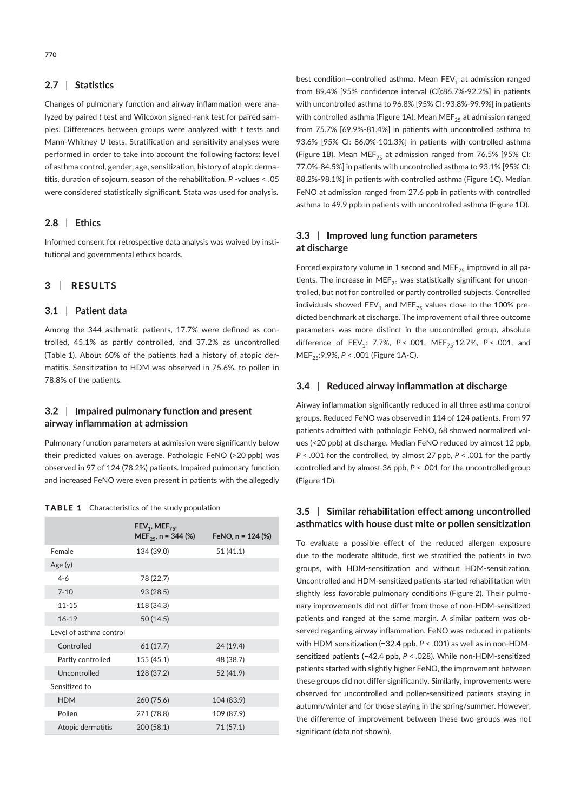#### 2.7 | Statistics

Changes of pulmonary function and airway inflammation were analyzed by paired t test and Wilcoxon signed-rank test for paired samples. Differences between groups were analyzed with t tests and Mann-Whitney U tests. Stratification and sensitivity analyses were performed in order to take into account the following factors: level of asthma control, gender, age, sensitization, history of atopic dermatitis, duration of sojourn, season of the rehabilitation. P - values < .05 were considered statistically significant. Stata was used for analysis.

#### 2.8 | Ethics

Informed consent for retrospective data analysis was waived by institutional and governmental ethics boards.

#### **RESULTS**  $3 \mid$

### 3.1 | Patient data

Among the 344 asthmatic patients, 17.7% were defined as controlled, 45.1% as partly controlled, and 37.2% as uncontrolled (Table 1). About 60% of the patients had a history of atopic dermatitis. Sensitization to HDM was observed in 75.6%, to pollen in 78.8% of the patients.

# 3.2 | Impaired pulmonary function and present airway inflammation at admission

Pulmonary function parameters at admission were significantly below their predicted values on average. Pathologic FeNO (>20 ppb) was observed in 97 of 124 (78.2%) patients. Impaired pulmonary function and increased FeNO were even present in patients with the allegedly

| <b>TABLE 1</b> Characteristics of the study population |  |
|--------------------------------------------------------|--|
|--------------------------------------------------------|--|

|                         | $FEV_1, MEF_{75}$<br>MEF <sub>25</sub> , n = 344 (%) | FeNO, $n = 124$ (%) |
|-------------------------|------------------------------------------------------|---------------------|
| Female                  | 134 (39.0)                                           | 51(41.1)            |
| Age(y)                  |                                                      |                     |
| $4 - 6$                 | 78 (22.7)                                            |                     |
| $7 - 10$                | 93 (28.5)                                            |                     |
| $11 - 15$               | 118 (34.3)                                           |                     |
| $16 - 19$               | 50(14.5)                                             |                     |
| Level of asthma control |                                                      |                     |
| Controlled              | 61(17.7)                                             | 24 (19.4)           |
| Partly controlled       | 155 (45.1)                                           | 48 (38.7)           |
| Uncontrolled            | 128 (37.2)                                           | 52 (41.9)           |
| Sensitized to           |                                                      |                     |
| <b>HDM</b>              | 260 (75.6)                                           | 104 (83.9)          |
| Pollen                  | 271 (78.8)                                           | 109 (87.9)          |
| Atopic dermatitis       | 200 (58.1)                                           | 71(57.1)            |

best condition—controlled asthma. Mean  $\mathsf{FEV}_1$  at admission ranged from 89.4% [95% confidence interval (CI):86.7%- 92.2%] in patients with uncontrolled asthma to 96.8% [95% CI: 93.8%-99.9%] in patients with controlled asthma (Figure 1A). Mean MEF $_{25}$  at admission ranged from 75.7% [69.9%- 81.4%] in patients with uncontrolled asthma to 93.6% [95% CI: 86.0%-101.3%] in patients with controlled asthma (Figure 1B). Mean MEF<sub>75</sub> at admission ranged from 76.5% [95% CI: 77.0%- 84.5%] in patients with uncontrolled asthma to 93.1% [95% CI: 88.2%-98.1%] in patients with controlled asthma (Figure 1C). Median FeNO at admission ranged from 27.6 ppb in patients with controlled asthma to 49.9 ppb in patients with uncontrolled asthma (Figure 1D).

# 3.3 | Improved lung function parameters at discharge

Forced expiratory volume in 1 second and MEF $_{75}$  improved in all patients. The increase in MEF<sub>25</sub> was statistically significant for uncontrolled, but not for controlled or partly controlled subjects. Controlled individuals showed  $\mathsf{FEV}_1$  and  $\mathsf{MEF}_{75}$  values close to the 100% predicted benchmark at discharge. The improvement of all three outcome parameters was more distinct in the uncontrolled group, absolute difference of  $FEV_1$ : 7.7%,  $P < .001$ ,  $MEF_{75}$ :12.7%,  $P < .001$ , and MEF<sub>25</sub>:9.9%,  $P < .001$  (Figure 1A-C).

# 3.4 | Reduced airway inflammation at discharge

Airway inflammation significantly reduced in all three asthma control groups. Reduced FeNO was observed in 114 of 124 patients. From 97 patients admitted with pathologic FeNO, 68 showed normalized values (<20 ppb) at discharge. Median FeNO reduced by almost 12 ppb,  $P < .001$  for the controlled, by almost 27 ppb,  $P < .001$  for the partly controlled and by almost 36 ppb,  $P < .001$  for the uncontrolled group (Figure 1D).

# 3.5 | Similar rehabilitation effect among uncontrolled asthmatics with house dust mite or pollen sensitization

To evaluate a possible effect of the reduced allergen exposure due to the moderate altitude, first we stratified the patients in two groups, with HDM-sensitization and without HDM-sensitization. Uncontrolled and HDM- sensitized patients started rehabilitation with slightly less favorable pulmonary conditions (Figure 2). Their pulmonary improvements did not differ from those of non-HDM-sensitized patients and ranged at the same margin. A similar pattern was observed regarding airway inflammation. FeNO was reduced in patients with HDM-sensitization (-32.4 ppb,  $P < .001$ ) as well as in non-HDMsensitized patients (-42.4 ppb, P < .028). While non-HDM-sensitized patients started with slightly higher FeNO, the improvement between these groups did not differ significantly. Similarly, improvements were observed for uncontrolled and pollen- sensitized patients staying in autumn/winter and for those staying in the spring/summer. However, the difference of improvement between these two groups was not significant (data not shown).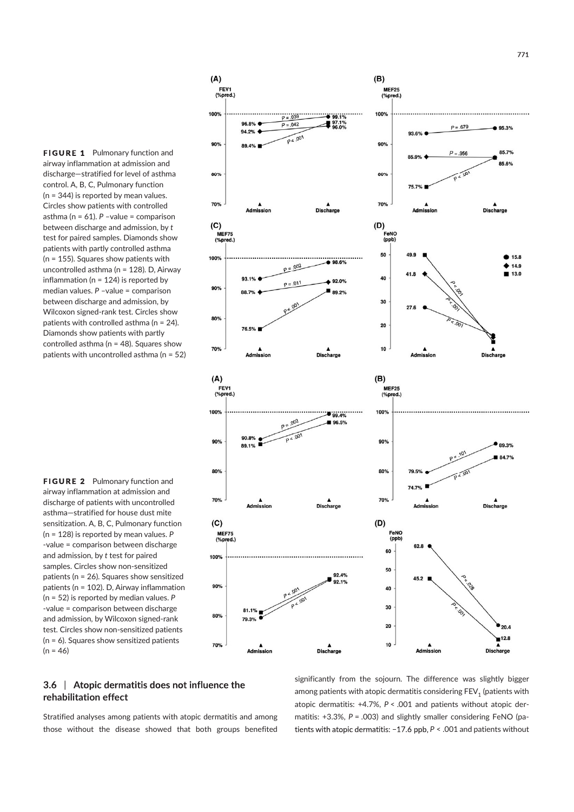**FIGURE 1** Pulmonary function and airway inflammation at admission and discharge—stratified for level of asthma control. A, B, C, Pulmonary function (n = 344) is reported by mean values. Circles show patients with controlled asthma ( $n = 61$ ).  $P$  -value = comparison between discharge and admission, by t test for paired samples. Diamonds show patients with partly controlled asthma (n = 155). Squares show patients with uncontrolled asthma (n = 128). D, Airway inflammation (n = 124) is reported by median values. P –value = comparison between discharge and admission, by Wilcoxon signed-rank test. Circles show patients with controlled asthma ( $n = 24$ ). Diamonds show patients with partly controlled asthma ( $n = 48$ ). Squares show patients with uncontrolled asthma (n = 52)

 $(A)$ 

100<sup>°</sup>

90%

80%

FEV1<br>(%pred.)

94.29

 $p = 039$ 

 $P = 0.042$ 

 $P 4.001$ 

FIGURE 2 Pulmonary function and airway inflammation at admission and discharge of patients with uncontrolled asthma—stratified for house dust mite sensitization. A, B, C, Pulmonary function (n = 128) is reported by mean values. P - value = comparison between discharge and admission, by t test for paired samples. Circles show non-sensitized patients (n = 26). Squares show sensitized patients (n = 102). D, Airway inflammation (n = 52) is reported by median values. P - value = comparison between discharge and admission, by Wilcoxon signed-rank test. Circles show non-sensitized patients (n = 6). Squares show sensitized patients  $(n = 46)$ 

rehabilitation effect



3.6 | Atopic dermatitis does not influence the

significantly from the sojourn. The difference was slightly bigger among patients with atopic dermatitis considering  $\mathsf{FEV}_1$  (patients with atopic dermatitis:  $+4.7\%$ ,  $P < .001$  and patients without atopic dermatitis:  $+3.3$ %,  $P = .003$ ) and slightly smaller considering FeNO (patients with atopic dermatitis:  $-17.6$  ppb,  $P < .001$  and patients without



 $(B)$ 

100%

90%

80%

 $\bullet$  99.1%  $97.1%$ 

MEF25<br>(%pred.)  $(%pr<sub>6</sub>)$ 

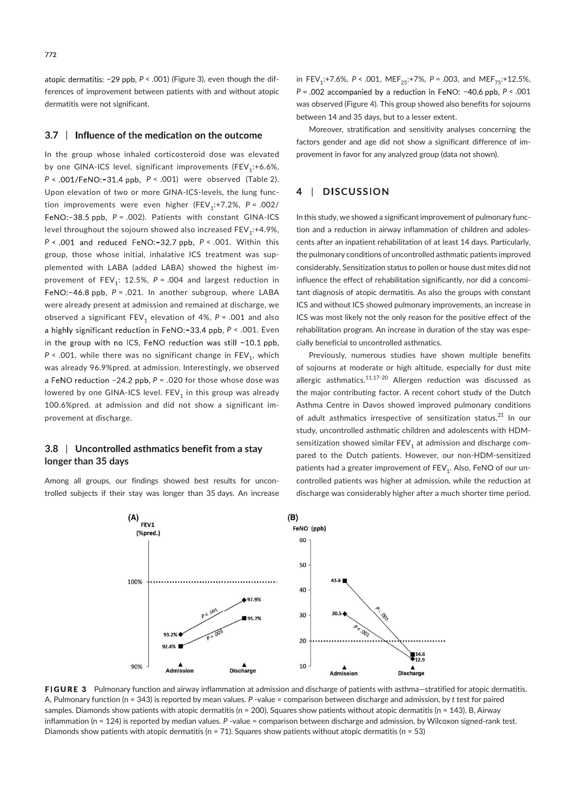atopic dermatitis:  $-29$  ppb,  $P < .001$ ) (Figure 3), even though the differences of improvement between patients with and without atopic dermatitis were not significant.

### 3.7 | Influence of the medication on the outcome

In the group whose inhaled corticosteroid dose was elevated by one GINA-ICS level, significant improvements (FEV<sub>1</sub>:+6.6%,  $P < .001$ /FeNO:-31.4 ppb,  $P < .001$ ) were observed (Table 2). Upon elevation of two or more GINA-ICS-levels, the lung function improvements were even higher (FEV<sub>1</sub>:+7.2%, P = .002/ FeNO: $-38.5$  ppb,  $P = .002$ ). Patients with constant GINA-ICS level throughout the sojourn showed also increased  $\mathsf{FEV}_{\mathtt{i}}$ :+4.9%,  $P < .001$  and reduced FeNO:-32.7 ppb,  $P < .001$ . Within this group, those whose initial, inhalative ICS treatment was supplemented with LABA (added LABA) showed the highest improvement of  $\text{FEV}_1$ : 12.5%,  $P = .004$  and largest reduction in FeNO:-46.8 ppb,  $P = .021$ . In another subgroup, where LABA were already present at admission and remained at discharge, we observed a significant  $\mathsf{FEV}_1$  elevation of 4%, P = .001 and also a highly significant reduction in  $FeNO: -33.4$  ppb,  $P < .001$ . Even in the group with no ICS, FeNO reduction was still -10.1 ppb, P < .001, while there was no significant change in  $\mathsf{FEV}_1^{}$ , which was already 96.9%pred. at admission. Interestingly, we observed a FeNO reduction  $-24.2$  ppb,  $P = .020$  for those whose dose was lowered by one GINA-ICS level.  $\mathsf{FEV}_1$  in this group was already 100.6%pred. at admission and did not show a significant improvement at discharge.

# 3.8 | Uncontrolled asthmatics benefit from a stay longer than 35 days

Among all groups, our findings showed best results for uncontrolled subjects if their stay was longer than 35 days. An increase

in FEV<sub>1</sub>:+7.6%, P < .001, MEF<sub>25</sub>:+7%, P = .003, and MEF<sub>75</sub>:+12.5%,  $P = .002$  accompanied by a reduction in FeNO: -40.6 ppb,  $P < .001$ was observed (Figure 4). This group showed also benefits for sojourns between 14 and 35 days, but to a lesser extent.

Moreover, stratification and sensitivity analyses concerning the factors gender and age did not show a significant difference of improvement in favor for any analyzed group (data not shown).

#### **DISCUSSION** 4  $\Box$

In this study, we showed a significant improvement of pulmonary function and a reduction in airway inflammation of children and adolescents after an inpatient rehabilitation of at least 14 days. Particularly, the pulmonary conditions of uncontrolled asthmatic patients improved considerably. Sensitization status to pollen or house dust mites did not influence the effect of rehabilitation significantly, nor did a concomitant diagnosis of atopic dermatitis. As also the groups with constant ICS and without ICS showed pulmonary improvements, an increase in ICS was most likely not the only reason for the positive effect of the rehabilitation program. An increase in duration of the stay was especially beneficial to uncontrolled asthmatics.

Previously, numerous studies have shown multiple benefits of sojourns at moderate or high altitude, especially for dust mite allergic asthmatics.<sup>11,17-20</sup> Allergen reduction was discussed as the major contributing factor. A recent cohort study of the Dutch Asthma Centre in Davos showed improved pulmonary conditions of adult asthmatics irrespective of sensitization status.<sup>21</sup> In our study, uncontrolled asthmatic children and adolescents with HDMsensitization showed similar  $\mathsf{FEV}_1$  at admission and discharge compared to the Dutch patients. However, our non-HDM-sensitized patients had a greater improvement of  $\mathsf{FEV}_1$ . Also, FeNO of our uncontrolled patients was higher at admission, while the reduction at discharge was considerably higher after a much shorter time period.



FIGURE 3 Pulmonary function and airway inflammation at admission and discharge of patients with asthma-stratified for atopic dermatitis. A, Pulmonary function (n = 343) is reported by mean values. P - value = comparison between discharge and admission, by t test for paired samples. Diamonds show patients with atopic dermatitis (n = 200). Squares show patients without atopic dermatitis (n = 143). B, Airway inflammation (n = 124) is reported by median values. P -value = comparison between discharge and admission, by Wilcoxon signed-rank test. Diamonds show patients with atopic dermatitis (n = 71). Squares show patients without atopic dermatitis (n = 53)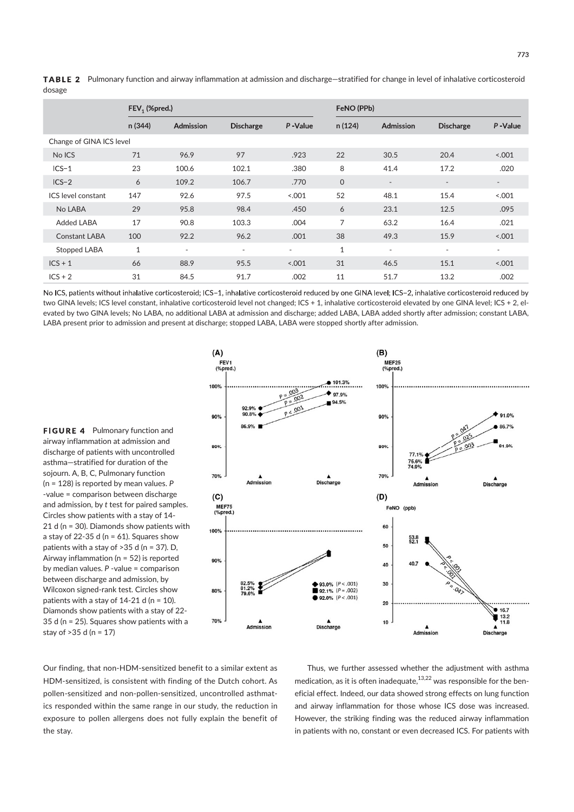|                          | $FEV1$ (%pred.) |                          |                  | FeNO (PPb) |              |                          |                          |                          |  |
|--------------------------|-----------------|--------------------------|------------------|------------|--------------|--------------------------|--------------------------|--------------------------|--|
|                          | n (344)         | Admission                | <b>Discharge</b> | P-Value    | n (124)      | Admission                | <b>Discharge</b>         | P-Value                  |  |
| Change of GINA ICS level |                 |                          |                  |            |              |                          |                          |                          |  |
| No ICS                   | 71              | 96.9                     | 97               | .923       | 22           | 30.5                     | 20.4                     | 0.001                    |  |
| $ICS-1$                  | 23              | 100.6                    | 102.1            | .380       | 8            | 41.4                     | 17.2                     | .020                     |  |
| $ICS-2$                  | 6               | 109.2                    | 106.7            | .770       | $\mathsf{O}$ | $\overline{\phantom{a}}$ | $\overline{\phantom{a}}$ | $\overline{\phantom{a}}$ |  |
| ICS level constant       | 147             | 92.6                     | 97.5             | < .001     | 52           | 48.1                     | 15.4                     | < .001                   |  |
| No LABA                  | 29              | 95.8                     | 98.4             | .450       | 6            | 23.1                     | 12.5                     | .095                     |  |
| <b>Added LABA</b>        | 17              | 90.8                     | 103.3            | .004       | 7            | 63.2                     | 16.4                     | .021                     |  |
| <b>Constant LABA</b>     | 100             | 92.2                     | 96.2             | .001       | 38           | 49.3                     | 15.9                     | < .001                   |  |
| Stopped LABA             | $\mathbf{1}$    | $\overline{\phantom{a}}$ | $\sim$           | $\sim$     | 1            | $\overline{\phantom{a}}$ | $\sim$                   | $\sim$                   |  |
| $ICS + 1$                | 66              | 88.9                     | 95.5             | < .001     | 31           | 46.5                     | 15.1                     | 0.001                    |  |
| $ICS + 2$                | 31              | 84.5                     | 91.7             | .002       | 11           | 51.7                     | 13.2                     | .002                     |  |

TABLE 2 Pulmonary function and airway inflammation at admission and discharge—stratified for change in level of inhalative corticosteroid dosage

No ICS, patients without inhalative corticosteroid: ICS-1, inhalative corticosteroid reduced by one GINA level: ICS-2, inhalative corticosteroid reduced by two GINA levels; ICS level constant, inhalative corticosteroid level not changed; ICS + 1, inhalative corticosteroid elevated by one GINA level; ICS + 2, elevated by two GINA levels; No LABA, no additional LABA at admission and discharge; added LABA, LABA added shortly after admission; constant LABA, LABA present prior to admission and present at discharge; stopped LABA, LABA were stopped shortly after admission.

**FIGURE 4** Pulmonary function and airway inflammation at admission and discharge of patients with uncontrolled asthma—stratified for duration of the sojourn. A, B, C, Pulmonary function (n = 128) is reported by mean values. P - value = comparison between discharge and admission, by t test for paired samples. Circles show patients with a stay of 14- 21 d (n = 30). Diamonds show patients with a stay of 22-35 d ( $n = 61$ ). Squares show patients with a stay of >35 d (n = 37). D, Airway inflammation (n = 52) is reported by median values.  $P$  -value = comparison between discharge and admission, by Wilcoxon signed-rank test. Circles show patients with a stay of  $14-21$  d (n = 10). Diamonds show patients with a stay of 22- 35 d (n = 25). Squares show patients with a stay of >35 d (n = 17)



Our finding, that non-HDM-sensitized benefit to a similar extent as HDM- sensitized, is consistent with finding of the Dutch cohort. As pollen- sensitized and non- pollen- sensitized, uncontrolled asthmatics responded within the same range in our study, the reduction in exposure to pollen allergens does not fully explain the benefit of the stay.

Thus, we further assessed whether the adjustment with asthma medication, as it is often inadequate, $13,22$  was responsible for the beneficial effect. Indeed, our data showed strong effects on lung function and airway inflammation for those whose ICS dose was increased. However, the striking finding was the reduced airway inflammation in patients with no, constant or even decreased ICS. For patients with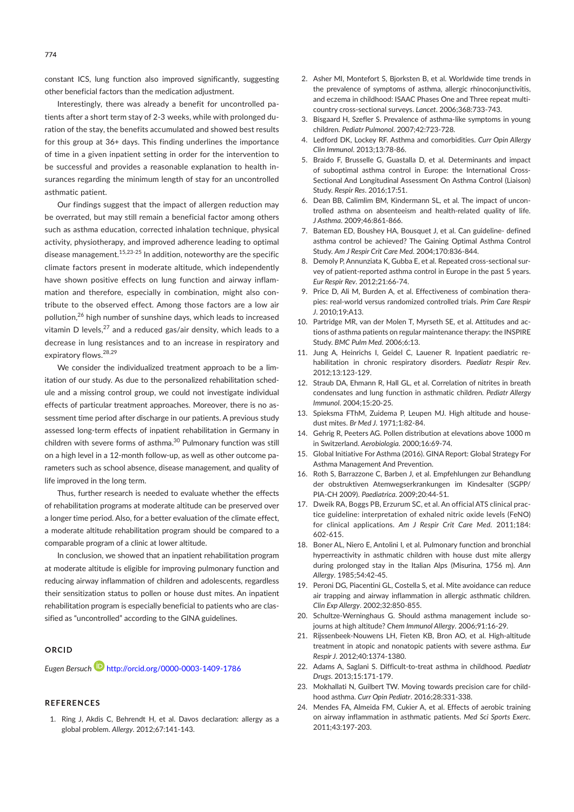constant ICS, lung function also improved significantly, suggesting other beneficial factors than the medication adjustment.

Interestingly, there was already a benefit for uncontrolled patients after a short term stay of 2-3 weeks, while with prolonged duration of the stay, the benefits accumulated and showed best results for this group at 36+ days. This finding underlines the importance of time in a given inpatient setting in order for the intervention to be successful and provides a reasonable explanation to health insurances regarding the minimum length of stay for an uncontrolled asthmatic patient.

Our findings suggest that the impact of allergen reduction may be overrated, but may still remain a beneficial factor among others such as asthma education, corrected inhalation technique, physical activity, physiotherapy, and improved adherence leading to optimal disease management.<sup>15,23-25</sup> In addition, noteworthy are the specific climate factors present in moderate altitude, which independently have shown positive effects on lung function and airway inflammation and therefore, especially in combination, might also contribute to the observed effect. Among those factors are a low air pollution,26 high number of sunshine days, which leads to increased vitamin D levels, $^{27}$  and a reduced gas/air density, which leads to a decrease in lung resistances and to an increase in respiratory and expiratory flows.28,29

We consider the individualized treatment approach to be a limitation of our study. As due to the personalized rehabilitation schedule and a missing control group, we could not investigate individual effects of particular treatment approaches. Moreover, there is no assessment time period after discharge in our patients. A previous study assessed long-term effects of inpatient rehabilitation in Germany in children with severe forms of asthma.<sup>30</sup> Pulmonary function was still on a high level in a 12-month follow-up, as well as other outcome parameters such as school absence, disease management, and quality of life improved in the long term.

Thus, further research is needed to evaluate whether the effects of rehabilitation programs at moderate altitude can be preserved over a longer time period. Also, for a better evaluation of the climate effect, a moderate altitude rehabilitation program should be compared to a comparable program of a clinic at lower altitude.

In conclusion, we showed that an inpatient rehabilitation program at moderate altitude is eligible for improving pulmonary function and reducing airway inflammation of children and adolescents, regardless their sensitization status to pollen or house dust mites. An inpatient rehabilitation program is especially beneficial to patients who are classified as "uncontrolled" according to the GINA guidelines.

### ORCID

Eugen Bersuch **b** http://orcid.org/0000-0003-1409-1786

#### **REFERENCES**

1. Ring J, Akdis C, Behrendt H, et al. Davos declaration: allergy as a global problem. Allergy. 2012;67:141-143.

- 2. Asher MI, Montefort S, Bjorksten B, et al. Worldwide time trends in the prevalence of symptoms of asthma, allergic rhinoconjunctivitis, and eczema in childhood: ISAAC Phases One and Three repeat multicountry cross-sectional surveys. Lancet. 2006;368:733-743.
- 3. Bisgaard H, Szefler S. Prevalence of asthma- like symptoms in young children. Pediatr Pulmonol. 2007;42:723-728.
- 4. Ledford DK, Lockey RF. Asthma and comorbidities. Curr Opin Allergy Clin Immunol. 2013;13:78-86.
- 5. Braido F, Brusselle G, Guastalla D, et al. Determinants and impact of suboptimal asthma control in Europe: the International Cross-Sectional And Longitudinal Assessment On Asthma Control (Liaison) Study. Respir Res. 2016;17:51.
- 6. Dean BB, Calimlim BM, Kindermann SL, et al. The impact of uncontrolled asthma on absenteeism and health-related quality of life. J Asthma. 2009;46:861-866.
- 7. Bateman ED, Boushey HA, Bousquet J, et al. Can guideline-defined asthma control be achieved? The Gaining Optimal Asthma Control Study. Am J Respir Crit Care Med. 2004;170:836-844.
- 8. Demoly P, Annunziata K, Gubba E, et al. Repeated cross-sectional survey of patient- reported asthma control in Europe in the past 5 years. Eur Respir Rev. 2012;21:66-74.
- 9. Price D, Ali M, Burden A, et al. Effectiveness of combination therapies: real- world versus randomized controlled trials. Prim Care Respir J. 2010;19:A13.
- 10. Partridge MR, van der Molen T, Myrseth SE, et al. Attitudes and actions of asthma patients on regular maintenance therapy: the INSPIRE Study. BMC Pulm Med. 2006;6:13.
- 11. Jung A, Heinrichs I, Geidel C, Lauener R. Inpatient paediatric rehabilitation in chronic respiratory disorders. Paediatr Respir Rev. 2012;13:123-129.
- 12. Straub DA, Ehmann R, Hall GL, et al. Correlation of nitrites in breath condensates and lung function in asthmatic children. Pediatr Allergy Immunol. 2004;15:20-25.
- 13. Spieksma FThM, Zuidema P, Leupen MJ. High altitude and housedust mites. Br Med J. 1971;1:82-84.
- 14. Gehrig R, Peeters AG. Pollen distribution at elevations above 1000 m in Switzerland. Aerobiologia. 2000;16:69-74.
- 15. Global Initiative For Asthma (2016). GINA Report: Global Strategy For Asthma Management And Prevention.
- 16. Roth S, Barrazzone C, Barben J, et al. Empfehlungen zur Behandlung der obstruktiven Atemwegserkrankungen im Kindesalter (SGPP/ PIA-CH 2009). Paediatrica. 2009;20:44-51.
- 17. Dweik RA, Boggs PB, Erzurum SC, et al. An official ATS clinical practice guideline: interpretation of exhaled nitric oxide levels (FeNO) for clinical applications. Am J Respir Crit Care Med. 2011;184: 602-615.
- 18. Boner AL, Niero E, Antolini I, et al. Pulmonary function and bronchial hyperreactivity in asthmatic children with house dust mite allergy during prolonged stay in the Italian Alps (Misurina, 1756 m). Ann Allergy. 1985;54:42-45.
- 19. Peroni DG, Piacentini GL, Costella S, et al. Mite avoidance can reduce air trapping and airway inflammation in allergic asthmatic children. Clin Exp Allergy. 2002;32:850-855.
- 20. Schultze-Werninghaus G. Should asthma management include sojourns at high altitude? Chem Immunol Allergy. 2006;91:16-29.
- 21. Rijssenbeek-Nouwens LH, Fieten KB, Bron AO, et al. High-altitude treatment in atopic and nonatopic patients with severe asthma. Eur Respir J. 2012;40:1374-1380.
- 22. Adams A, Saglani S. Difficult-to-treat asthma in childhood. Paediatr Drugs. 2013;15:171-179.
- 23. Mokhallati N, Guilbert TW. Moving towards precision care for childhood asthma. Curr Opin Pediatr. 2016;28:331-338.
- 24. Mendes FA, Almeida FM, Cukier A, et al. Effects of aerobic training on airway inflammation in asthmatic patients. Med Sci Sports Exerc. 2011;43:197-203.